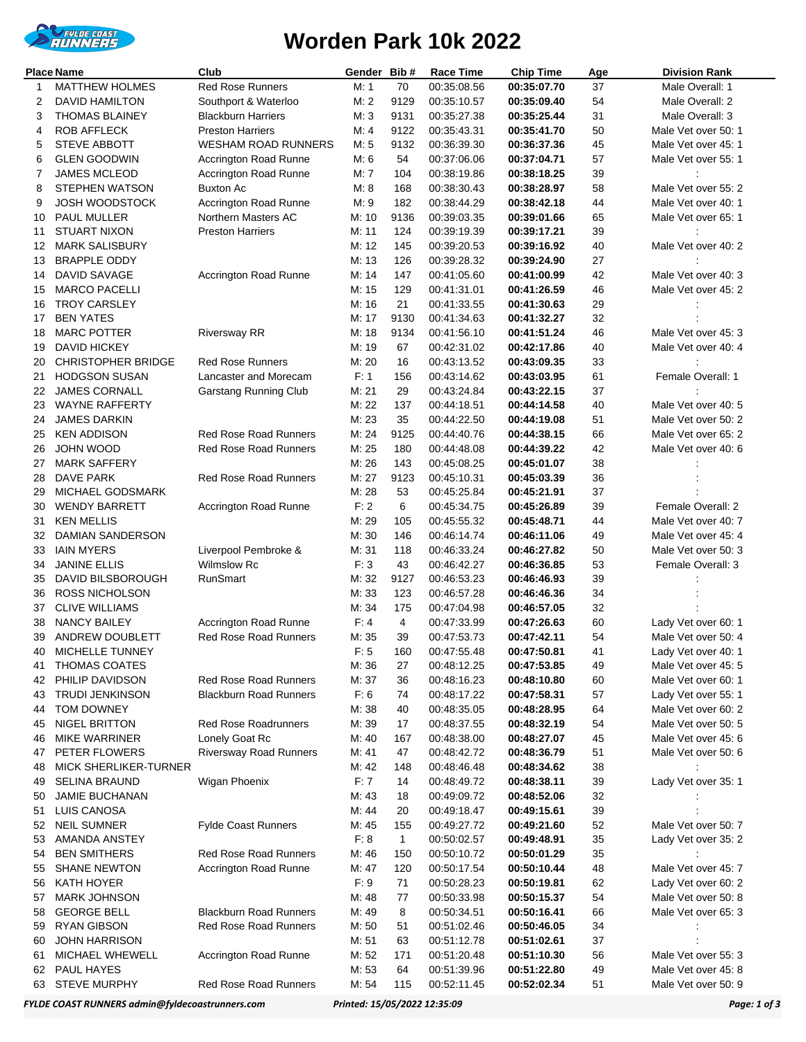

## **Worden Park 10k 2022**

| Place Name<br>Club |                              |                               | Gender | Bib#           | Race Time   | <b>Chip Time</b> | Age | <b>Division Rank</b> |
|--------------------|------------------------------|-------------------------------|--------|----------------|-------------|------------------|-----|----------------------|
| 1                  | <b>MATTHEW HOLMES</b>        | Red Rose Runners              | M: 1   | 70             | 00:35:08.56 | 00:35:07.70      | 37  | Male Overall: 1      |
| 2                  | <b>DAVID HAMILTON</b>        | Southport & Waterloo          | M: 2   | 9129           | 00:35:10.57 | 00:35:09.40      | 54  | Male Overall: 2      |
| 3                  | <b>THOMAS BLAINEY</b>        | <b>Blackburn Harriers</b>     | M:3    | 9131           | 00:35:27.38 | 00:35:25.44      | 31  | Male Overall: 3      |
| 4                  | <b>ROB AFFLECK</b>           | <b>Preston Harriers</b>       | M: 4   | 9122           | 00:35:43.31 | 00:35:41.70      | 50  | Male Vet over 50: 1  |
| 5                  | STEVE ABBOTT                 | <b>WESHAM ROAD RUNNERS</b>    | M: 5   | 9132           | 00:36:39.30 | 00:36:37.36      | 45  | Male Vet over 45: 1  |
| 6                  | <b>GLEN GOODWIN</b>          | Accrington Road Runne         | M: 6   | 54             | 00:37:06.06 | 00:37:04.71      | 57  | Male Vet over 55: 1  |
| 7                  | <b>JAMES MCLEOD</b>          | Accrington Road Runne         | M: 7   | 104            | 00:38:19.86 | 00:38:18.25      | 39  |                      |
| 8                  | <b>STEPHEN WATSON</b>        | <b>Buxton Ac</b>              | M: 8   | 168            | 00:38:30.43 | 00:38:28.97      | 58  | Male Vet over 55: 2  |
| 9                  | <b>JOSH WOODSTOCK</b>        | <b>Accrington Road Runne</b>  | M: 9   | 182            | 00:38:44.29 | 00:38:42.18      | 44  | Male Vet over 40: 1  |
| 10                 | PAUL MULLER                  | Northern Masters AC           | M: 10  | 9136           | 00:39:03.35 | 00:39:01.66      | 65  | Male Vet over 65: 1  |
| 11                 | <b>STUART NIXON</b>          | <b>Preston Harriers</b>       | M: 11  | 124            | 00:39:19.39 | 00:39:17.21      | 39  |                      |
| 12                 | <b>MARK SALISBURY</b>        |                               | M: 12  | 145            | 00:39:20.53 | 00:39:16.92      | 40  | Male Vet over 40: 2  |
| 13                 | <b>BRAPPLE ODDY</b>          |                               | M: 13  | 126            | 00:39:28.32 | 00:39:24.90      | 27  |                      |
| 14                 | DAVID SAVAGE                 | Accrington Road Runne         | M: 14  | 147            | 00:41:05.60 | 00:41:00.99      | 42  | Male Vet over 40: 3  |
| 15                 | <b>MARCO PACELLI</b>         |                               | M: 15  | 129            | 00:41:31.01 | 00:41:26.59      | 46  | Male Vet over 45: 2  |
| 16                 | <b>TROY CARSLEY</b>          |                               | M: 16  | 21             | 00:41:33.55 | 00:41:30.63      | 29  |                      |
| 17                 | <b>BEN YATES</b>             |                               | M: 17  | 9130           | 00:41:34.63 | 00:41:32.27      | 32  |                      |
| 18                 | <b>MARC POTTER</b>           | <b>Riversway RR</b>           | M: 18  | 9134           | 00:41:56.10 | 00:41:51.24      | 46  | Male Vet over 45: 3  |
| 19                 | <b>DAVID HICKEY</b>          |                               | M: 19  | 67             | 00:42:31.02 | 00:42:17.86      | 40  | Male Vet over 40: 4  |
| 20                 | <b>CHRISTOPHER BRIDGE</b>    | <b>Red Rose Runners</b>       | M: 20  | 16             | 00:43:13.52 | 00:43:09.35      | 33  |                      |
| 21                 | <b>HODGSON SUSAN</b>         | Lancaster and Morecam         | F: 1   | 156            | 00:43:14.62 | 00:43:03.95      | 61  | Female Overall: 1    |
| 22                 | <b>JAMES CORNALL</b>         | <b>Garstang Running Club</b>  | M: 21  | 29             | 00:43:24.84 | 00:43:22.15      | 37  |                      |
| 23                 | WAYNE RAFFERTY               |                               | M: 22  | 137            | 00:44:18.51 | 00:44:14.58      | 40  | Male Vet over 40: 5  |
| 24                 | <b>JAMES DARKIN</b>          |                               | M: 23  | 35             | 00:44:22.50 | 00:44:19.08      | 51  | Male Vet over 50: 2  |
| 25                 | <b>KEN ADDISON</b>           | <b>Red Rose Road Runners</b>  | M: 24  | 9125           | 00:44:40.76 | 00:44:38.15      | 66  | Male Vet over 65: 2  |
| 26                 | JOHN WOOD                    | Red Rose Road Runners         | M: 25  | 180            | 00:44:48.08 | 00:44:39.22      | 42  | Male Vet over 40: 6  |
| 27                 | <b>MARK SAFFERY</b>          |                               | M: 26  | 143            | 00:45:08.25 | 00:45:01.07      | 38  |                      |
| 28                 | DAVE PARK                    | <b>Red Rose Road Runners</b>  | M: 27  | 9123           | 00:45:10.31 | 00:45:03.39      | 36  |                      |
| 29                 | MICHAEL GODSMARK             |                               | M: 28  | 53             | 00:45:25.84 | 00:45:21.91      | 37  |                      |
| 30                 | <b>WENDY BARRETT</b>         | Accrington Road Runne         | F: 2   | 6              | 00:45:34.75 | 00:45:26.89      | 39  | Female Overall: 2    |
| 31                 | <b>KEN MELLIS</b>            |                               | M: 29  | 105            | 00:45:55.32 | 00:45:48.71      | 44  | Male Vet over 40: 7  |
| 32                 | DAMIAN SANDERSON             |                               | M: 30  | 146            | 00:46:14.74 | 00:46:11.06      | 49  | Male Vet over 45: 4  |
| 33                 | <b>IAIN MYERS</b>            | Liverpool Pembroke &          | M: 31  | 118            | 00:46:33.24 | 00:46:27.82      | 50  | Male Vet over 50: 3  |
| 34                 | <b>JANINE ELLIS</b>          | <b>Wilmslow Rc</b>            | F: 3   | 43             | 00:46:42.27 | 00:46:36.85      | 53  | Female Overall: 3    |
| 35                 | DAVID BILSBOROUGH            | RunSmart                      | M: 32  | 9127           | 00:46:53.23 | 00:46:46.93      | 39  |                      |
| 36                 | <b>ROSS NICHOLSON</b>        |                               | M: 33  | 123            | 00:46:57.28 | 00:46:46.36      | 34  |                      |
| 37                 | <b>CLIVE WILLIAMS</b>        |                               | M: 34  | 175            | 00:47:04.98 | 00:46:57.05      | 32  |                      |
| 38                 | <b>NANCY BAILEY</b>          | Accrington Road Runne         | F: 4   | $\overline{4}$ | 00:47:33.99 | 00:47:26.63      | 60  | Lady Vet over 60: 1  |
| 39                 | ANDREW DOUBLETT              | <b>Red Rose Road Runners</b>  | M: 35  | 39             | 00:47:53.73 | 00:47:42.11      | 54  | Male Vet over 50: 4  |
|                    | 40 MICHELLE TUNNEY           |                               | F: 5   | 160            | 00:47:55.48 | 00:47:50.81      | 41  | Lady Vet over 40: 1  |
| 41                 | <b>THOMAS COATES</b>         |                               | M: 36  | 27             | 00:48:12.25 | 00:47:53.85      | 49  | Male Vet over 45: 5  |
| 42                 | PHILIP DAVIDSON              | Red Rose Road Runners         | M: 37  | 36             | 00:48:16.23 | 00:48:10.80      | 60  | Male Vet over 60: 1  |
| 43                 | <b>TRUDI JENKINSON</b>       | <b>Blackburn Road Runners</b> | F: 6   | 74             | 00:48:17.22 | 00:47:58.31      | 57  | Lady Vet over 55: 1  |
| 44                 | TOM DOWNEY                   |                               | M: 38  | 40             | 00:48:35.05 | 00:48:28.95      | 64  | Male Vet over 60: 2  |
| 45                 | <b>NIGEL BRITTON</b>         | <b>Red Rose Roadrunners</b>   | M: 39  | 17             | 00:48:37.55 | 00:48:32.19      | 54  | Male Vet over 50: 5  |
| 46                 | <b>MIKE WARRINER</b>         | Lonely Goat Rc                | M: 40  | 167            | 00:48:38.00 | 00:48:27.07      | 45  | Male Vet over 45: 6  |
| 47                 | PETER FLOWERS                | <b>Riversway Road Runners</b> | M: 41  | 47             | 00:48:42.72 | 00:48:36.79      | 51  | Male Vet over 50: 6  |
| 48                 | <b>MICK SHERLIKER-TURNER</b> |                               | M: 42  | 148            | 00:48:46.48 | 00:48:34.62      | 38  |                      |
| 49                 | <b>SELINA BRAUND</b>         | Wigan Phoenix                 | F:7    | 14             | 00:48:49.72 | 00:48:38.11      | 39  | Lady Vet over 35: 1  |
| 50                 | <b>JAMIE BUCHANAN</b>        |                               | M: 43  | 18             | 00:49:09.72 | 00:48:52.06      | 32  |                      |
| 51                 | LUIS CANOSA                  |                               | M: 44  | 20             | 00:49:18.47 | 00:49:15.61      | 39  |                      |
| 52                 | <b>NEIL SUMNER</b>           | <b>Fylde Coast Runners</b>    | M: 45  | 155            | 00:49:27.72 | 00:49:21.60      | 52  | Male Vet over 50: 7  |
| 53                 | AMANDA ANSTEY                |                               | F: 8   | $\mathbf{1}$   | 00:50:02.57 | 00:49:48.91      | 35  | Lady Vet over 35: 2  |
| 54                 | <b>BEN SMITHERS</b>          | Red Rose Road Runners         | M: 46  | 150            | 00:50:10.72 | 00:50:01.29      | 35  |                      |
| 55                 | <b>SHANE NEWTON</b>          | Accrington Road Runne         | M: 47  | 120            | 00:50:17.54 | 00:50:10.44      | 48  | Male Vet over 45: 7  |
| 56                 | KATH HOYER                   |                               | F: 9   | 71             | 00:50:28.23 | 00:50:19.81      | 62  | Lady Vet over 60: 2  |
| 57                 | <b>MARK JOHNSON</b>          |                               | M: 48  | 77             | 00:50:33.98 | 00:50:15.37      | 54  | Male Vet over 50: 8  |
| 58                 | <b>GEORGE BELL</b>           | <b>Blackburn Road Runners</b> | M: 49  | 8              | 00:50:34.51 | 00:50:16.41      | 66  | Male Vet over 65: 3  |
| 59                 | <b>RYAN GIBSON</b>           | Red Rose Road Runners         | M: 50  | 51             | 00:51:02.46 | 00:50:46.05      | 34  |                      |
| 60                 | <b>JOHN HARRISON</b>         |                               | M: 51  | 63             | 00:51:12.78 | 00:51:02.61      | 37  |                      |
| 61                 | <b>MICHAEL WHEWELL</b>       | Accrington Road Runne         | M: 52  | 171            | 00:51:20.48 | 00:51:10.30      | 56  | Male Vet over 55: 3  |
| 62                 | PAUL HAYES                   |                               | M: 53  | 64             | 00:51:39.96 | 00:51:22.80      | 49  | Male Vet over 45: 8  |
| 63                 | <b>STEVE MURPHY</b>          | Red Rose Road Runners         | M: 54  | 115            | 00:52:11.45 | 00:52:02.34      | 51  | Male Vet over 50: 9  |

*FYLDE COAST RUNNERS admin@fyldecoastrunners.com Printed: 15/05/2022 12:35:09 Page: 1 of 3*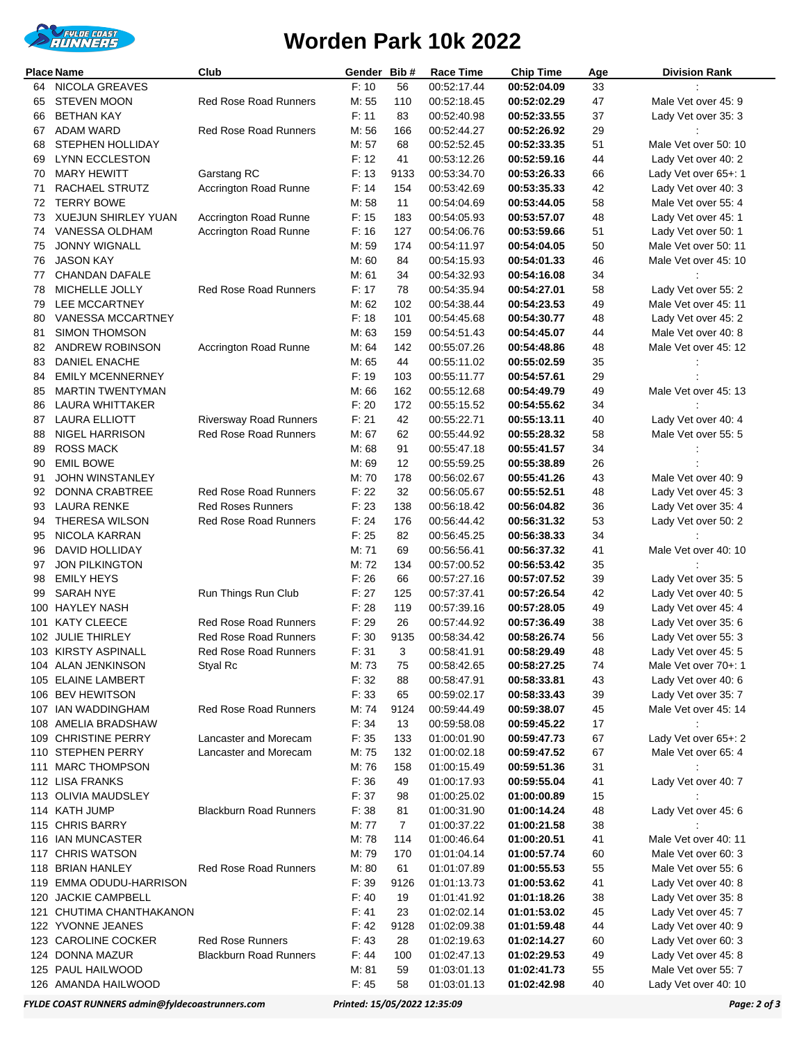

## **Worden Park 10k 2022**

| <b>Place Name</b> |                                        | Club                          | Gender         | Bib#           | <b>Race Time</b>           | <b>Chip Time</b>           | Age      | <b>Division Rank</b>                        |
|-------------------|----------------------------------------|-------------------------------|----------------|----------------|----------------------------|----------------------------|----------|---------------------------------------------|
| 64                | <b>NICOLA GREAVES</b>                  |                               | F: 10          | 56             | 00:52:17.44                | 00:52:04.09                | 33       |                                             |
| 65                | <b>STEVEN MOON</b>                     | <b>Red Rose Road Runners</b>  | M: 55          | 110            | 00:52:18.45                | 00:52:02.29                | 47       | Male Vet over 45: 9                         |
| 66                | <b>BETHAN KAY</b>                      |                               | F: 11          | 83             | 00:52:40.98                | 00:52:33.55                | 37       | Lady Vet over 35: 3                         |
| 67                | <b>ADAM WARD</b>                       | <b>Red Rose Road Runners</b>  | M: 56          | 166            | 00:52:44.27                | 00:52:26.92                | 29       |                                             |
| 68                | STEPHEN HOLLIDAY                       |                               | M: 57          | 68             | 00:52:52.45                | 00:52:33.35                | 51       | Male Vet over 50: 10                        |
| 69                | <b>LYNN ECCLESTON</b>                  |                               | F: 12          | 41             | 00:53:12.26                | 00:52:59.16                | 44       | Lady Vet over 40: 2                         |
| 70                | <b>MARY HEWITT</b>                     | Garstang RC                   | F: 13          | 9133           | 00:53:34.70                | 00:53:26.33                | 66       | Lady Vet over 65+: 1                        |
| 71                | RACHAEL STRUTZ                         | Accrington Road Runne         | F: 14          | 154            | 00:53:42.69                | 00:53:35.33                | 42       | Lady Vet over 40: 3                         |
| 72                | <b>TERRY BOWE</b>                      |                               | M: 58          | 11             | 00:54:04.69                | 00:53:44.05                | 58       | Male Vet over 55: 4                         |
| 73                | <b>XUEJUN SHIRLEY YUAN</b>             | Accrington Road Runne         | F: 15          | 183            | 00:54:05.93                | 00:53:57.07                | 48       | Lady Vet over 45: 1                         |
| 74                | VANESSA OLDHAM                         | Accrington Road Runne         | F: 16          | 127            | 00:54:06.76                | 00:53:59.66                | 51       | Lady Vet over 50: 1                         |
| 75                | <b>JONNY WIGNALL</b>                   |                               | M: 59          | 174            | 00:54:11.97                | 00:54:04.05                | 50       | Male Vet over 50: 11                        |
| 76                | <b>JASON KAY</b>                       |                               | M: 60          | 84             | 00:54:15.93                | 00:54:01.33                | 46       | Male Vet over 45: 10                        |
| 77                | CHANDAN DAFALE<br>MICHELLE JOLLY       | <b>Red Rose Road Runners</b>  | M: 61<br>F: 17 | 34<br>78       | 00:54:32.93                | 00:54:16.08                | 34<br>58 |                                             |
| 78<br>79          | LEE MCCARTNEY                          |                               | M: 62          | 102            | 00:54:35.94<br>00:54:38.44 | 00:54:27.01<br>00:54:23.53 | 49       | Lady Vet over 55: 2<br>Male Vet over 45: 11 |
| 80                | VANESSA MCCARTNEY                      |                               | F: 18          | 101            | 00:54:45.68                | 00:54:30.77                | 48       | Lady Vet over 45: 2                         |
| 81                | <b>SIMON THOMSON</b>                   |                               | M: 63          | 159            | 00:54:51.43                | 00:54:45.07                | 44       | Male Vet over 40: 8                         |
| 82                | ANDREW ROBINSON                        | Accrington Road Runne         | M: 64          | 142            | 00:55:07.26                | 00:54:48.86                | 48       | Male Vet over 45: 12                        |
| 83                | DANIEL ENACHE                          |                               | M: 65          | 44             | 00:55:11.02                | 00:55:02.59                | 35       |                                             |
| 84                | <b>EMILY MCENNERNEY</b>                |                               | F: 19          | 103            | 00:55:11.77                | 00:54:57.61                | 29       |                                             |
| 85                | <b>MARTIN TWENTYMAN</b>                |                               | M: 66          | 162            | 00:55:12.68                | 00:54:49.79                | 49       | Male Vet over 45: 13                        |
| 86                | <b>LAURA WHITTAKER</b>                 |                               | F: 20          | 172            | 00:55:15.52                | 00:54:55.62                | 34       |                                             |
| 87                | <b>LAURA ELLIOTT</b>                   | <b>Riversway Road Runners</b> | F: 21          | 42             | 00:55:22.71                | 00:55:13.11                | 40       | Lady Vet over 40: 4                         |
| 88                | NIGEL HARRISON                         | <b>Red Rose Road Runners</b>  | M: 67          | 62             | 00:55:44.92                | 00:55:28.32                | 58       | Male Vet over 55: 5                         |
| 89                | <b>ROSS MACK</b>                       |                               | M: 68          | 91             | 00:55:47.18                | 00:55:41.57                | 34       |                                             |
| 90                | <b>EMIL BOWE</b>                       |                               | M: 69          | 12             | 00:55:59.25                | 00:55:38.89                | 26       |                                             |
| 91                | <b>JOHN WINSTANLEY</b>                 |                               | M: 70          | 178            | 00:56:02.67                | 00:55:41.26                | 43       | Male Vet over 40: 9                         |
| 92                | DONNA CRABTREE                         | <b>Red Rose Road Runners</b>  | F: 22          | 32             | 00:56:05.67                | 00:55:52.51                | 48       | Lady Vet over 45: 3                         |
| 93                | <b>LAURA RENKE</b>                     | <b>Red Roses Runners</b>      | F: 23          | 138            | 00:56:18.42                | 00:56:04.82                | 36       | Lady Vet over 35: 4                         |
| 94                | <b>THERESA WILSON</b>                  | <b>Red Rose Road Runners</b>  | F: 24          | 176            | 00:56:44.42                | 00:56:31.32                | 53       | Lady Vet over 50: 2                         |
| 95                | NICOLA KARRAN                          |                               | F: 25          | 82             | 00:56:45.25                | 00:56:38.33                | 34       |                                             |
| 96                | DAVID HOLLIDAY                         |                               | M: 71          | 69             | 00:56:56.41                | 00:56:37.32                | 41       | Male Vet over 40: 10                        |
| 97                | <b>JON PILKINGTON</b>                  |                               | M: 72          | 134            | 00:57:00.52                | 00:56:53.42                | 35       |                                             |
| 98                | <b>EMILY HEYS</b>                      |                               | F: 26          | 66             | 00:57:27.16                | 00:57:07.52                | 39       | Lady Vet over 35: 5                         |
| 99                | <b>SARAH NYE</b>                       | Run Things Run Club           | F: 27          | 125            | 00:57:37.41                | 00:57:26.54                | 42       | Lady Vet over 40: 5                         |
| 100               | <b>HAYLEY NASH</b>                     |                               | F: 28          | 119            | 00:57:39.16                | 00:57:28.05                | 49       | Lady Vet over 45: 4                         |
|                   | 101 KATY CLEECE                        | <b>Red Rose Road Runners</b>  | F: 29          | 26             | 00:57:44.92                | 00:57:36.49                | 38       | Lady Vet over 35: 6                         |
|                   | 102 JULIE THIRLEY                      | <b>Red Rose Road Runners</b>  | F: 30          | 9135           | 00:58:34.42                | 00:58:26.74                | 56       | Lady Vet over 55: 3                         |
|                   | 103 KIRSTY ASPINALL                    | Red Rose Road Runners         | F: 31          | 3              | 00:58:41.91                | 00:58:29.49                | 48       | Lady Vet over 45: 5                         |
|                   | 104 ALAN JENKINSON                     | Styal Rc                      | M: 73          | 75             | 00:58:42.65                | 00:58:27.25                | 74       | Male Vet over 70+: 1                        |
|                   | 105 ELAINE LAMBERT<br>106 BEV HEWITSON |                               | F: 32<br>F: 33 | 88<br>65       | 00:58:47.91<br>00:59:02.17 | 00:58:33.81<br>00:58:33.43 | 43<br>39 | Lady Vet over 40: 6<br>Lady Vet over 35: 7  |
|                   | 107 IAN WADDINGHAM                     | Red Rose Road Runners         | M: 74          | 9124           | 00:59:44.49                | 00:59:38.07                | 45       | Male Vet over 45: 14                        |
|                   | 108 AMELIA BRADSHAW                    |                               | F: 34          | 13             | 00:59:58.08                | 00:59:45.22                | 17       |                                             |
|                   | 109 CHRISTINE PERRY                    | Lancaster and Morecam         | F: 35          | 133            | 01:00:01.90                | 00:59:47.73                | 67       | Lady Vet over 65+: 2                        |
|                   | 110 STEPHEN PERRY                      | Lancaster and Morecam         | M: 75          | 132            | 01:00:02.18                | 00:59:47.52                | 67       | Male Vet over 65: 4                         |
|                   | 111 MARC THOMPSON                      |                               | M: 76          | 158            | 01:00:15.49                | 00:59:51.36                | 31       |                                             |
|                   | 112 LISA FRANKS                        |                               | F: 36          | 49             | 01:00:17.93                | 00:59:55.04                | 41       | Lady Vet over 40: 7                         |
|                   | 113 OLIVIA MAUDSLEY                    |                               | F: 37          | 98             | 01:00:25.02                | 01:00:00.89                | 15       |                                             |
|                   | 114 KATH JUMP                          | <b>Blackburn Road Runners</b> | F: 38          | 81             | 01:00:31.90                | 01:00:14.24                | 48       | Lady Vet over 45: 6                         |
|                   | 115 CHRIS BARRY                        |                               | M: 77          | $\overline{7}$ | 01:00:37.22                | 01:00:21.58                | 38       |                                             |
|                   | 116 IAN MUNCASTER                      |                               | M: 78          | 114            | 01:00:46.64                | 01:00:20.51                | 41       | Male Vet over 40: 11                        |
|                   | 117 CHRIS WATSON                       |                               | M: 79          | 170            | 01:01:04.14                | 01:00:57.74                | 60       | Male Vet over 60: 3                         |
|                   | 118 BRIAN HANLEY                       | <b>Red Rose Road Runners</b>  | M: 80          | 61             | 01:01:07.89                | 01:00:55.53                | 55       | Male Vet over 55: 6                         |
|                   | 119 EMMA ODUDU-HARRISON                |                               | F: 39          | 9126           | 01:01:13.73                | 01:00:53.62                | 41       | Lady Vet over 40: 8                         |
|                   | 120 JACKIE CAMPBELL                    |                               | F: 40          | 19             | 01:01:41.92                | 01:01:18.26                | 38       | Lady Vet over 35: 8                         |
|                   | 121 CHUTIMA CHANTHAKANON               |                               | F: 41          | 23             | 01:02:02.14                | 01:01:53.02                | 45       | Lady Vet over 45: 7                         |
|                   | 122 YVONNE JEANES                      |                               | F: 42          | 9128           | 01:02:09.38                | 01:01:59.48                | 44       | Lady Vet over 40: 9                         |
|                   | 123 CAROLINE COCKER                    | <b>Red Rose Runners</b>       | F: 43          | 28             | 01:02:19.63                | 01:02:14.27                | 60       | Lady Vet over 60: 3                         |
|                   | 124 DONNA MAZUR                        | <b>Blackburn Road Runners</b> | F: 44          | 100            | 01:02:47.13                | 01:02:29.53                | 49       | Lady Vet over 45: 8                         |
|                   | 125 PAUL HAILWOOD                      |                               | M: 81          | 59             | 01:03:01.13                | 01:02:41.73                | 55       | Male Vet over 55: 7                         |
|                   | 126 AMANDA HAILWOOD                    |                               | F: 45          | 58             | 01:03:01.13                | 01:02:42.98                | 40       | Lady Vet over 40: 10                        |

*FYLDE COAST RUNNERS admin@fyldecoastrunners.com Printed: 15/05/2022 12:35:09 Page: 2 of 3*